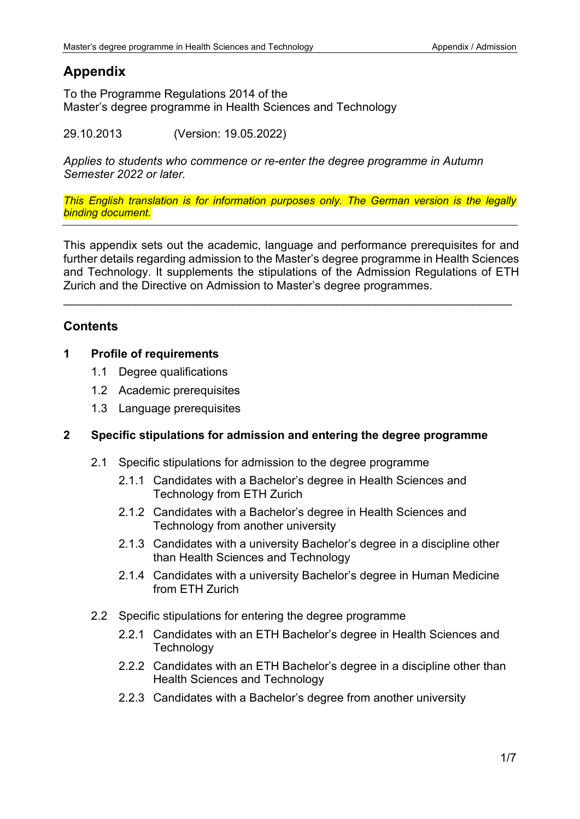# **Appendix**

To the Programme Regulations 2014 of the Master's degree programme in Health Sciences and Technology

29.10.2013 (Version: 19.05.2022)

*Applies to students who commence or re-enter the degree programme in Autumn Semester 2022 or later.*

*This English translation is for information purposes only. The German version is the legally binding document.*

This appendix sets out the academic, language and performance prerequisites for and further details regarding admission to the Master's degree programme in Health Sciences and Technology. It supplements the stipulations of the Admission Regulations of ETH Zurich and the Directive on Admission to Master's degree programmes.

\_\_\_\_\_\_\_\_\_\_\_\_\_\_\_\_\_\_\_\_\_\_\_\_\_\_\_\_\_\_\_\_\_\_\_\_\_\_\_\_\_\_\_\_\_\_\_\_\_\_\_\_\_\_\_\_\_\_\_\_\_\_\_\_\_\_\_\_\_

# **Contents**

### **1 Profile of requirements**

- 1.1 Degree qualifications
- 1.2 Academic prerequisites
- 1.3 Language prerequisites

# **2 Specific stipulations for admission and entering the degree programme**

- 2.1 Specific stipulations for admission to the degree programme
	- 2.1.1 Candidates with a Bachelor's degree in Health Sciences and Technology from ETH Zurich
	- 2.1.2 Candidates with a Bachelor's degree in Health Sciences and Technology from another university
	- 2.1.3 Candidates with a university Bachelor's degree in a discipline other than Health Sciences and Technology
	- 2.1.4 Candidates with a university Bachelor's degree in Human Medicine from ETH Zurich
- 2.2 Specific stipulations for entering the degree programme
	- 2.2.1 Candidates with an ETH Bachelor's degree in Health Sciences and **Technology**
	- 2.2.2 Candidates with an ETH Bachelor's degree in a discipline other than Health Sciences and Technology
	- 2.2.3 Candidates with a Bachelor's degree from another university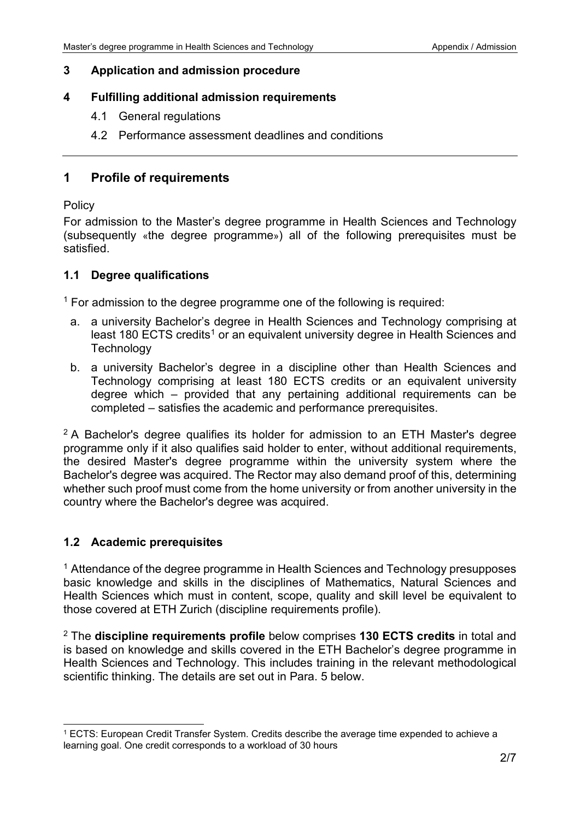### **3 Application and admission procedure**

### **4 Fulfilling additional admission requirements**

- 4.1 General regulations
- 4.2 Performance assessment deadlines and conditions

### **1 Profile of requirements**

#### **Policy**

For admission to the Master's degree programme in Health Sciences and Technology (subsequently «the degree programme») all of the following prerequisites must be satisfied.

### **1.1 Degree qualifications**

 $1$  For admission to the degree programme one of the following is required:

- a. a university Bachelor's degree in Health Sciences and Technology comprising at least 180 ECTS credits<sup>1</sup> or an equivalent university degree in Health Sciences and **Technology**
- b. a university Bachelor's degree in a discipline other than Health Sciences and Technology comprising at least 180 ECTS credits or an equivalent university degree which – provided that any pertaining additional requirements can be completed – satisfies the academic and performance prerequisites.

 $2A$  Bachelor's degree qualifies its holder for admission to an ETH Master's degree programme only if it also qualifies said holder to enter, without additional requirements, the desired Master's degree programme within the university system where the Bachelor's degree was acquired. The Rector may also demand proof of this, determining whether such proof must come from the home university or from another university in the country where the Bachelor's degree was acquired.

### **1.2 Academic prerequisites**

<sup>1</sup> Attendance of the degree programme in Health Sciences and Technology presupposes basic knowledge and skills in the disciplines of Mathematics, Natural Sciences and Health Sciences which must in content, scope, quality and skill level be equivalent to those covered at ETH Zurich (discipline requirements profile).

<sup>2</sup> The **discipline requirements profile** below comprises **130 ECTS credits** in total and is based on knowledge and skills covered in the ETH Bachelor's degree programme in Health Sciences and Technology. This includes training in the relevant methodological scientific thinking. The details are set out in Para. 5 below.

<span id="page-1-0"></span><sup>1</sup> ECTS: European Credit Transfer System. Credits describe the average time expended to achieve a learning goal. One credit corresponds to a workload of 30 hours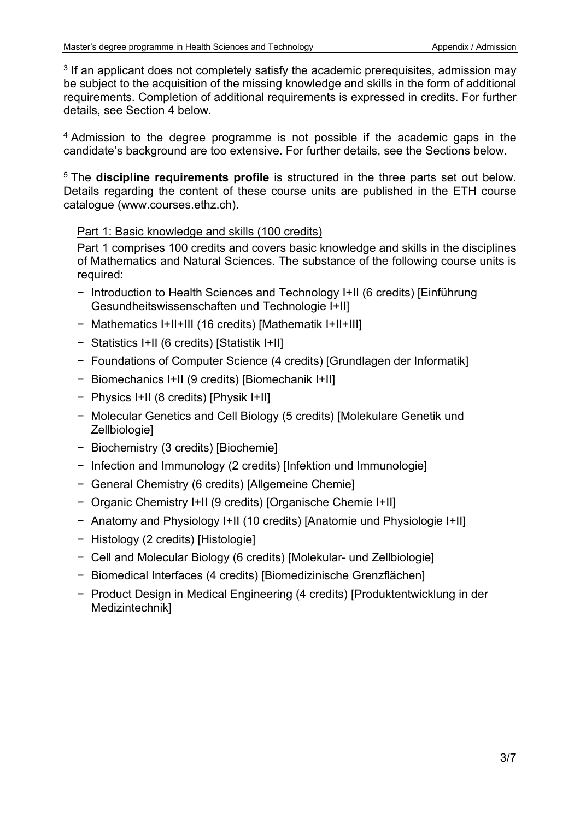$3$  If an applicant does not completely satisfy the academic prerequisites, admission may be subject to the acquisition of the missing knowledge and skills in the form of additional requirements. Completion of additional requirements is expressed in credits. For further details, see Section 4 below.

<sup>4</sup> Admission to the degree programme is not possible if the academic gaps in the candidate's background are too extensive. For further details, see the Sections below.

<sup>5</sup> The **discipline requirements profile** is structured in the three parts set out below. Details regarding the content of these course units are published in the ETH course catalogue (www.courses.ethz.ch).

### Part 1: Basic knowledge and skills (100 credits)

Part 1 comprises 100 credits and covers basic knowledge and skills in the disciplines of Mathematics and Natural Sciences. The substance of the following course units is required:

- − Introduction to Health Sciences and Technology I+II (6 credits) [Einführung Gesundheitswissenschaften und Technologie I+II]
- − Mathematics I+II+III (16 credits) [Mathematik I+II+III]
- − Statistics I+II (6 credits) [Statistik I+II]
- − Foundations of Computer Science (4 credits) [Grundlagen der Informatik]
- − Biomechanics I+II (9 credits) [Biomechanik I+II]
- − Physics I+II (8 credits) [Physik I+II]
- − Molecular Genetics and Cell Biology (5 credits) [Molekulare Genetik und Zellbiologie]
- − Biochemistry (3 credits) [Biochemie]
- − Infection and Immunology (2 credits) [Infektion und Immunologie]
- − General Chemistry (6 credits) [Allgemeine Chemie]
- − Organic Chemistry I+II (9 credits) [Organische Chemie I+II]
- − Anatomy and Physiology I+II (10 credits) [Anatomie und Physiologie I+II]
- − Histology (2 credits) [Histologie]
- − Cell and Molecular Biology (6 credits) [Molekular- und Zellbiologie]
- − Biomedical Interfaces (4 credits) [Biomedizinische Grenzflächen]
- − Product Design in Medical Engineering (4 credits) [Produktentwicklung in der Medizintechnik]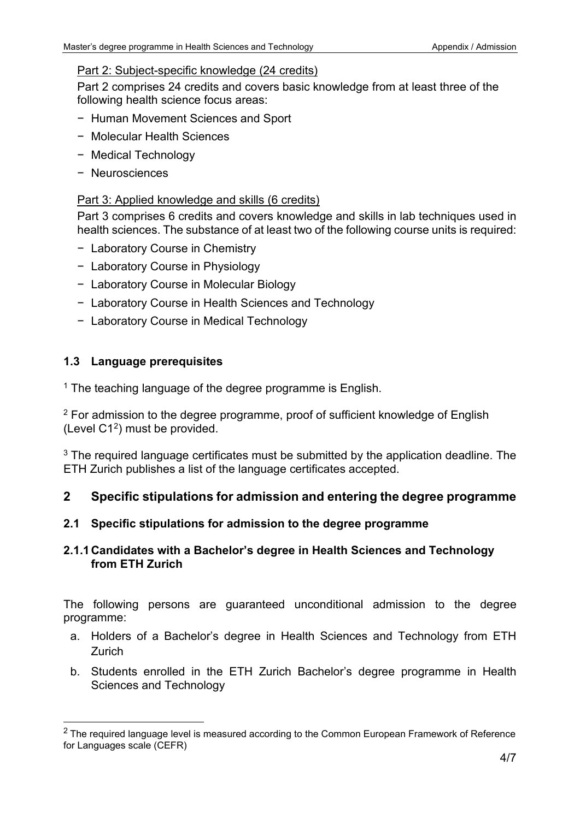### Part 2: Subject-specific knowledge (24 credits)

Part 2 comprises 24 credits and covers basic knowledge from at least three of the following health science focus areas:

- − Human Movement Sciences and Sport
- − Molecular Health Sciences
- − Medical Technology
- − Neurosciences

### Part 3: Applied knowledge and skills (6 credits)

Part 3 comprises 6 credits and covers knowledge and skills in lab techniques used in health sciences. The substance of at least two of the following course units is required:

- − Laboratory Course in Chemistry
- − Laboratory Course in Physiology
- − Laboratory Course in Molecular Biology
- − Laboratory Course in Health Sciences and Technology
- − Laboratory Course in Medical Technology

## **1.3 Language prerequisites**

 $1$  The teaching language of the degree programme is English.

 $2$  For admission to the degree programme, proof of sufficient knowledge of English (Level  $C1<sup>2</sup>$  $C1<sup>2</sup>$  $C1<sup>2</sup>$ ) must be provided.

 $3$  The required language certificates must be submitted by the application deadline. The ETH Zurich publishes a list of the language certificates accepted.

### **2 Specific stipulations for admission and entering the degree programme**

### **2.1 Specific stipulations for admission to the degree programme**

### **2.1.1Candidates with a Bachelor's degree in Health Sciences and Technology from ETH Zurich**

The following persons are guaranteed unconditional admission to the degree programme:

- a. Holders of a Bachelor's degree in Health Sciences and Technology from ETH Zurich
- b. Students enrolled in the ETH Zurich Bachelor's degree programme in Health Sciences and Technology

<span id="page-3-0"></span> $2$  The required language level is measured according to the Common European Framework of Reference for Languages scale (CEFR)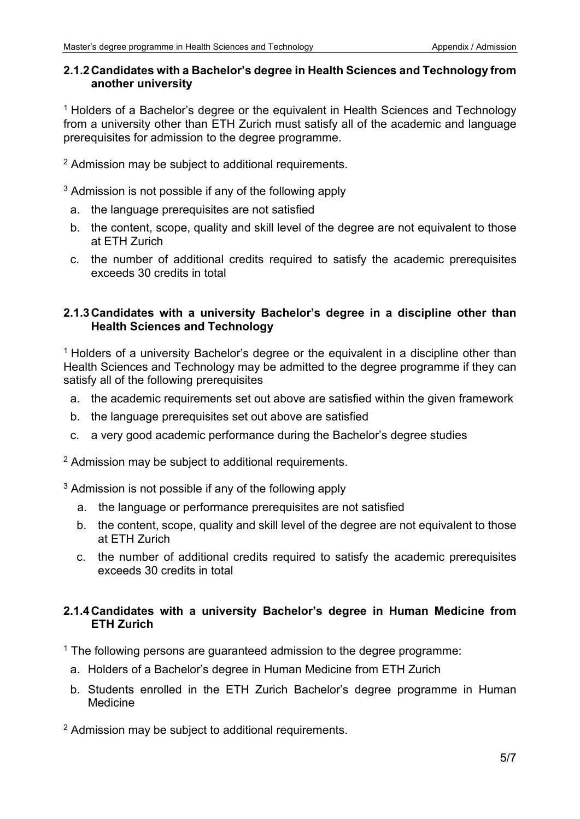### **2.1.2Candidates with a Bachelor's degree in Health Sciences and Technology from another university**

<sup>1</sup> Holders of a Bachelor's degree or the equivalent in Health Sciences and Technology from a university other than ETH Zurich must satisfy all of the academic and language prerequisites for admission to the degree programme.

<sup>2</sup> Admission may be subject to additional requirements.

<sup>3</sup> Admission is not possible if any of the following apply

- a. the language prerequisites are not satisfied
- b. the content, scope, quality and skill level of the degree are not equivalent to those at ETH Zurich
- c. the number of additional credits required to satisfy the academic prerequisites exceeds 30 credits in total

### **2.1.3Candidates with a university Bachelor's degree in a discipline other than Health Sciences and Technology**

<sup>1</sup> Holders of a university Bachelor's degree or the equivalent in a discipline other than Health Sciences and Technology may be admitted to the degree programme if they can satisfy all of the following prerequisites

- a. the academic requirements set out above are satisfied within the given framework
- b. the language prerequisites set out above are satisfied
- c. a very good academic performance during the Bachelor's degree studies

 $2$  Admission may be subject to additional requirements.

 $3$  Admission is not possible if any of the following apply

- a. the language or performance prerequisites are not satisfied
- b. the content, scope, quality and skill level of the degree are not equivalent to those at ETH Zurich
- c. the number of additional credits required to satisfy the academic prerequisites exceeds 30 credits in total

### **2.1.4Candidates with a university Bachelor's degree in Human Medicine from ETH Zurich**

 $1$  The following persons are guaranteed admission to the degree programme:

- a. Holders of a Bachelor's degree in Human Medicine from ETH Zurich
- b. Students enrolled in the ETH Zurich Bachelor's degree programme in Human Medicine

<sup>2</sup> Admission may be subiect to additional requirements.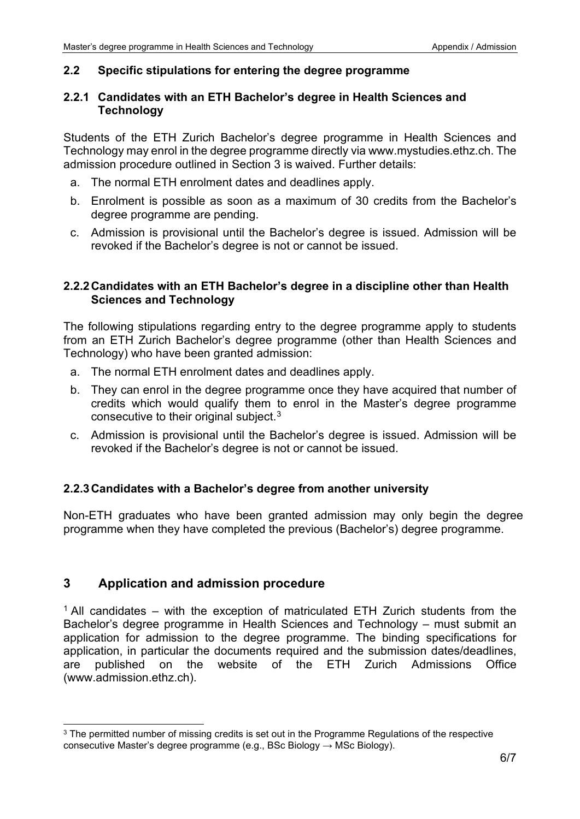#### **2.2 Specific stipulations for entering the degree programme**

#### **2.2.1 Candidates with an ETH Bachelor's degree in Health Sciences and Technology**

Students of the ETH Zurich Bachelor's degree programme in Health Sciences and Technology may enrol in the degree programme directly via www.mystudies.ethz.ch. The admission procedure outlined in Section 3 is waived. Further details:

- a. The normal ETH enrolment dates and deadlines apply.
- b. Enrolment is possible as soon as a maximum of 30 credits from the Bachelor's degree programme are pending.
- c. Admission is provisional until the Bachelor's degree is issued. Admission will be revoked if the Bachelor's degree is not or cannot be issued.

### **2.2.2Candidates with an ETH Bachelor's degree in a discipline other than Health Sciences and Technology**

The following stipulations regarding entry to the degree programme apply to students from an ETH Zurich Bachelor's degree programme (other than Health Sciences and Technology) who have been granted admission:

- a. The normal ETH enrolment dates and deadlines apply.
- b. They can enrol in the degree programme once they have acquired that number of credits which would qualify them to enrol in the Master's degree programme consecutive to their original subject.[3](#page-5-0)
- c. Admission is provisional until the Bachelor's degree is issued. Admission will be revoked if the Bachelor's degree is not or cannot be issued.

### **2.2.3Candidates with a Bachelor's degree from another university**

Non-ETH graduates who have been granted admission may only begin the degree programme when they have completed the previous (Bachelor's) degree programme.

### **3 Application and admission procedure**

 $1$  All candidates – with the exception of matriculated ETH Zurich students from the Bachelor's degree programme in Health Sciences and Technology – must submit an application for admission to the degree programme. The binding specifications for application, in particular the documents required and the submission dates/deadlines, are published on the website of the ETH Zurich Admissions Office (www.admission.ethz.ch).

<span id="page-5-0"></span><sup>&</sup>lt;sup>3</sup> The permitted number of missing credits is set out in the Programme Regulations of the respective consecutive Master's degree programme (e.g., BSc Biology  $\rightarrow$  MSc Biology).